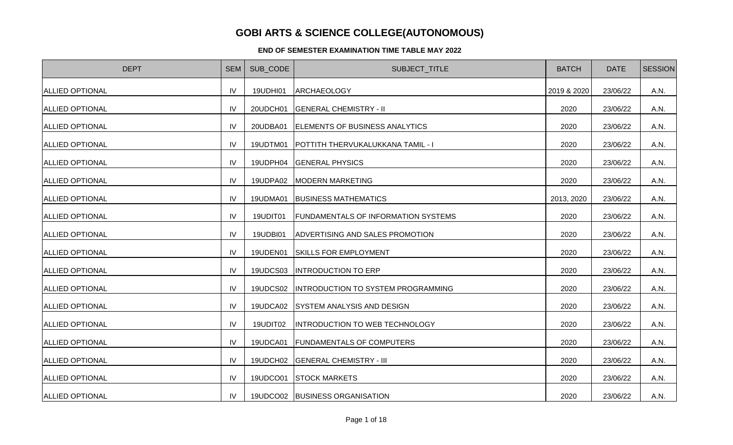## **GOBI ARTS & SCIENCE COLLEGE(AUTONOMOUS)**

## **END OF SEMESTER EXAMINATION TIME TABLE MAY 2022**

| <b>DEPT</b>            | <b>SEM</b>     | SUB CODE | SUBJECT_TITLE                                | <b>BATCH</b> | <b>DATE</b> | <b>SESSION</b> |
|------------------------|----------------|----------|----------------------------------------------|--------------|-------------|----------------|
| <b>ALLIED OPTIONAL</b> | IV             | 19UDHI01 | <b>ARCHAEOLOGY</b>                           | 2019 & 2020  | 23/06/22    | A.N.           |
| <b>ALLIED OPTIONAL</b> | IV             | 20UDCH01 | <b>GENERAL CHEMISTRY - II</b>                | 2020         | 23/06/22    | A.N.           |
| <b>ALLIED OPTIONAL</b> | IV             | 20UDBA01 | ELEMENTS OF BUSINESS ANALYTICS               | 2020         | 23/06/22    | A.N.           |
| <b>ALLIED OPTIONAL</b> | IV             | 19UDTM01 | <b>POTTITH THERVUKALUKKANA TAMIL - I</b>     | 2020         | 23/06/22    | A.N.           |
| <b>ALLIED OPTIONAL</b> | IV             | 19UDPH04 | <b>GENERAL PHYSICS</b>                       | 2020         | 23/06/22    | A.N.           |
| <b>ALLIED OPTIONAL</b> | IV             |          | 19UDPA02   MODERN MARKETING                  | 2020         | 23/06/22    | A.N.           |
| <b>ALLIED OPTIONAL</b> | IV             | 19UDMA01 | <b>BUSINESS MATHEMATICS</b>                  | 2013, 2020   | 23/06/22    | A.N.           |
| <b>ALLIED OPTIONAL</b> | IV             | 19UDIT01 | <b>FUNDAMENTALS OF INFORMATION SYSTEMS</b>   | 2020         | 23/06/22    | A.N.           |
| <b>ALLIED OPTIONAL</b> | IV             | 19UDBI01 | ADVERTISING AND SALES PROMOTION              | 2020         | 23/06/22    | A.N.           |
| <b>ALLIED OPTIONAL</b> | IV             | 19UDEN01 | <b>SKILLS FOR EMPLOYMENT</b>                 | 2020         | 23/06/22    | A.N.           |
| <b>ALLIED OPTIONAL</b> | IV             | 19UDCS03 | <b>INTRODUCTION TO ERP</b>                   | 2020         | 23/06/22    | A.N.           |
| <b>ALLIED OPTIONAL</b> | IV             |          | 19UDCS02  INTRODUCTION TO SYSTEM PROGRAMMING | 2020         | 23/06/22    | A.N.           |
| <b>ALLIED OPTIONAL</b> | IV             |          | 19UDCA02 SYSTEM ANALYSIS AND DESIGN          | 2020         | 23/06/22    | A.N.           |
| <b>ALLIED OPTIONAL</b> | IV             | 19UDIT02 | <b>INTRODUCTION TO WEB TECHNOLOGY</b>        | 2020         | 23/06/22    | A.N.           |
| <b>ALLIED OPTIONAL</b> | IV             |          | 19UDCA01 FUNDAMENTALS OF COMPUTERS           | 2020         | 23/06/22    | A.N.           |
| <b>ALLIED OPTIONAL</b> | IV             |          | 19UDCH02 GENERAL CHEMISTRY - III             | 2020         | 23/06/22    | A.N.           |
| <b>ALLIED OPTIONAL</b> | IV             |          | 19UDCO01 STOCK MARKETS                       | 2020         | 23/06/22    | A.N.           |
| <b>ALLIED OPTIONAL</b> | IV <sub></sub> |          | 19UDCO02 BUSINESS ORGANISATION               | 2020         | 23/06/22    | A.N.           |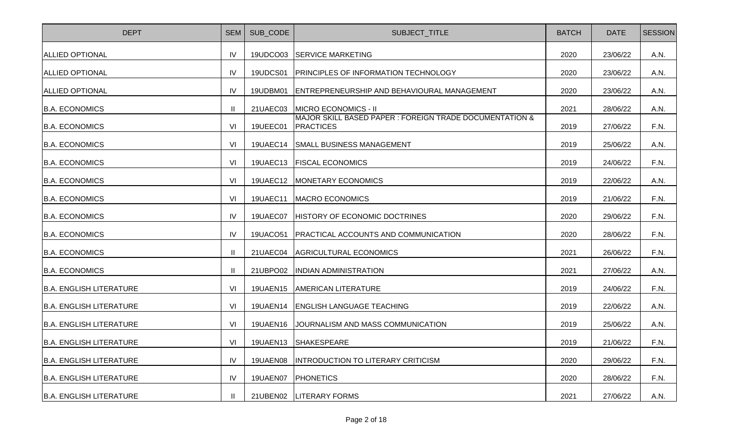| <b>DEPT</b>                    | <b>SEM</b>     | SUB_CODE        | SUBJECT_TITLE                                                               | <b>BATCH</b> | <b>DATE</b> | <b>SESSION</b> |
|--------------------------------|----------------|-----------------|-----------------------------------------------------------------------------|--------------|-------------|----------------|
| <b>ALLIED OPTIONAL</b>         | <b>IV</b>      | 19UDCO03        | <b>SERVICE MARKETING</b>                                                    | 2020         | 23/06/22    | A.N.           |
| <b>ALLIED OPTIONAL</b>         | IV             | 19UDCS01        | <b>PRINCIPLES OF INFORMATION TECHNOLOGY</b>                                 | 2020         | 23/06/22    | A.N.           |
| <b>ALLIED OPTIONAL</b>         | IV             | 19UDBM01        | ENTREPRENEURSHIP AND BEHAVIOURAL MANAGEMENT                                 | 2020         | 23/06/22    | A.N.           |
| <b>B.A. ECONOMICS</b>          | Ш              | 21UAEC03        | MICRO ECONOMICS - II                                                        | 2021         | 28/06/22    | A.N.           |
| <b>B.A. ECONOMICS</b>          | VI             | 19UEEC01        | MAJOR SKILL BASED PAPER : FOREIGN TRADE DOCUMENTATION &<br><b>PRACTICES</b> | 2019         | 27/06/22    | F.N.           |
| <b>B.A. ECONOMICS</b>          | VI             | 19UAEC14        | SMALL BUSINESS MANAGEMENT                                                   | 2019         | 25/06/22    | A.N.           |
| <b>B.A. ECONOMICS</b>          | VI             | 19UAEC13        | <b>FISCAL ECONOMICS</b>                                                     | 2019         | 24/06/22    | F.N.           |
| <b>B.A. ECONOMICS</b>          | VI             | 19UAEC12        | MONETARY ECONOMICS                                                          | 2019         | 22/06/22    | A.N.           |
| <b>B.A. ECONOMICS</b>          | V <sub>l</sub> | <b>19UAEC11</b> | MACRO ECONOMICS                                                             | 2019         | 21/06/22    | F.N.           |
| <b>B.A. ECONOMICS</b>          | IV             | 19UAEC07        | HISTORY OF ECONOMIC DOCTRINES                                               | 2020         | 29/06/22    | F.N.           |
| <b>B.A. ECONOMICS</b>          | IV             | 19UACO51        | <b>PRACTICAL ACCOUNTS AND COMMUNICATION</b>                                 | 2020         | 28/06/22    | F.N.           |
| <b>B.A. ECONOMICS</b>          | $\mathbf{H}$   | 21UAEC04        | <b>AGRICULTURAL ECONOMICS</b>                                               | 2021         | 26/06/22    | F.N.           |
| <b>B.A. ECONOMICS</b>          | $\mathbf{H}$   | 21UBPO02        | <b>INDIAN ADMINISTRATION</b>                                                | 2021         | 27/06/22    | A.N.           |
| <b>B.A. ENGLISH LITERATURE</b> | VI             | <b>19UAEN15</b> | <b>AMERICAN LITERATURE</b>                                                  | 2019         | 24/06/22    | F.N.           |
| <b>B.A. ENGLISH LITERATURE</b> | VI             | 19UAEN14        | <b>ENGLISH LANGUAGE TEACHING</b>                                            | 2019         | 22/06/22    | A.N.           |
| <b>B.A. ENGLISH LITERATURE</b> | VI             | <b>19UAEN16</b> | JOURNALISM AND MASS COMMUNICATION                                           | 2019         | 25/06/22    | A.N.           |
| <b>B.A. ENGLISH LITERATURE</b> | V <sub>l</sub> | 19UAEN13        | SHAKESPEARE                                                                 | 2019         | 21/06/22    | F.N.           |
| <b>B.A. ENGLISH LITERATURE</b> | IV             | 19UAEN08        | <b>INTRODUCTION TO LITERARY CRITICISM</b>                                   | 2020         | 29/06/22    | F.N.           |
| <b>B.A. ENGLISH LITERATURE</b> | IV             | 19UAEN07        | <b>PHONETICS</b>                                                            | 2020         | 28/06/22    | F.N.           |
| <b>B.A. ENGLISH LITERATURE</b> |                |                 | 21UBEN02   LITERARY FORMS                                                   | 2021         | 27/06/22    | A.N.           |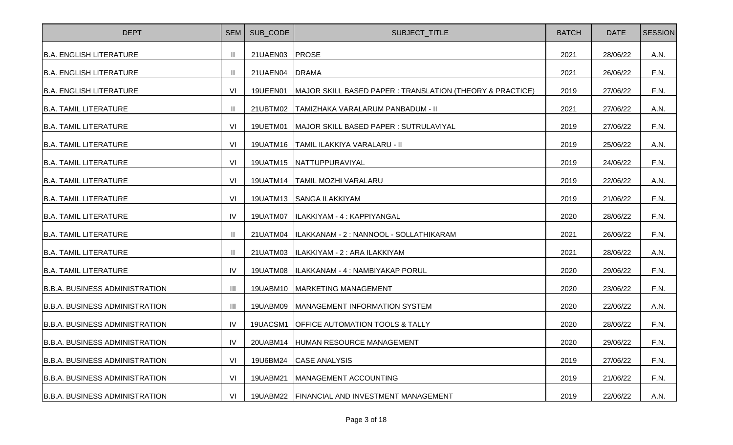| <b>DEPT</b>                           | <b>SEM</b>   | SUB_CODE | SUBJECT_TITLE                                             | <b>BATCH</b> | <b>DATE</b> | <b>SESSION</b> |
|---------------------------------------|--------------|----------|-----------------------------------------------------------|--------------|-------------|----------------|
| <b>B.A. ENGLISH LITERATURE</b>        | $\mathbf{H}$ | 21UAEN03 | <b>PROSE</b>                                              | 2021         | 28/06/22    | A.N.           |
| <b>B.A. ENGLISH LITERATURE</b>        | $\mathbf{H}$ | 21UAEN04 | <b>DRAMA</b>                                              | 2021         | 26/06/22    | F.N.           |
| <b>B.A. ENGLISH LITERATURE</b>        | VI           | 19UEEN01 | MAJOR SKILL BASED PAPER : TRANSLATION (THEORY & PRACTICE) | 2019         | 27/06/22    | F.N.           |
| <b>B.A. TAMIL LITERATURE</b>          | Ш            | 21UBTM02 | TAMIZHAKA VARALARUM PANBADUM - II                         | 2021         | 27/06/22    | A.N.           |
| <b>B.A. TAMIL LITERATURE</b>          | VI           | 19UETM01 | MAJOR SKILL BASED PAPER : SUTRULAVIYAL                    | 2019         | 27/06/22    | F.N.           |
| <b>B.A. TAMIL LITERATURE</b>          | VI           | 19UATM16 | TAMIL ILAKKIYA VARALARU - II                              | 2019         | 25/06/22    | A.N.           |
| <b>B.A. TAMIL LITERATURE</b>          | VI           |          | 19UATM15 NATTUPPURAVIYAL                                  | 2019         | 24/06/22    | F.N.           |
| <b>B.A. TAMIL LITERATURE</b>          | VI           |          | 19UATM14   TAMIL MOZHI VARALARU                           | 2019         | 22/06/22    | A.N.           |
| <b>B.A. TAMIL LITERATURE</b>          | VI           | 19UATM13 | <b>SANGA ILAKKIYAM</b>                                    | 2019         | 21/06/22    | F.N.           |
| <b>B.A. TAMIL LITERATURE</b>          | IV           | 19UATM07 | ILAKKIYAM - 4 : KAPPIYANGAL                               | 2020         | 28/06/22    | F.N.           |
| <b>B.A. TAMIL LITERATURE</b>          | H            | 21UATM04 | ILAKKANAM - 2 : NANNOOL - SOLLATHIKARAM                   | 2021         | 26/06/22    | F.N.           |
| IB.A. TAMIL LITERATURE                | $\mathbf{H}$ | 21UATM03 | ILAKKIYAM - 2 : ARA ILAKKIYAM                             | 2021         | 28/06/22    | A.N.           |
| <b>B.A. TAMIL LITERATURE</b>          | IV           | 19UATM08 | ILAKKANAM - 4 : NAMBIYAKAP PORUL                          | 2020         | 29/06/22    | F.N.           |
| <b>B.B.A. BUSINESS ADMINISTRATION</b> | III          | 19UABM10 | MARKETING MANAGEMENT                                      | 2020         | 23/06/22    | F.N.           |
| <b>B.B.A. BUSINESS ADMINISTRATION</b> | III          | 19UABM09 | MANAGEMENT INFORMATION SYSTEM                             | 2020         | 22/06/22    | A.N.           |
| B.B.A. BUSINESS ADMINISTRATION        | <b>IV</b>    | 19UACSM1 | <b>OFFICE AUTOMATION TOOLS &amp; TALLY</b>                | 2020         | 28/06/22    | F.N.           |
| <b>B.B.A. BUSINESS ADMINISTRATION</b> | IV           | 20UABM14 | HUMAN RESOURCE MANAGEMENT                                 | 2020         | 29/06/22    | F.N.           |
| <b>B.B.A. BUSINESS ADMINISTRATION</b> | VI           | 19U6BM24 | <b>CASE ANALYSIS</b>                                      | 2019         | 27/06/22    | F.N.           |
| <b>B.B.A. BUSINESS ADMINISTRATION</b> | VI           | 19UABM21 | MANAGEMENT ACCOUNTING                                     | 2019         | 21/06/22    | F.N.           |
| B.B.A. BUSINESS ADMINISTRATION        | VI           |          | 19UABM22   FINANCIAL AND INVESTMENT MANAGEMENT            | 2019         | 22/06/22    | A.N.           |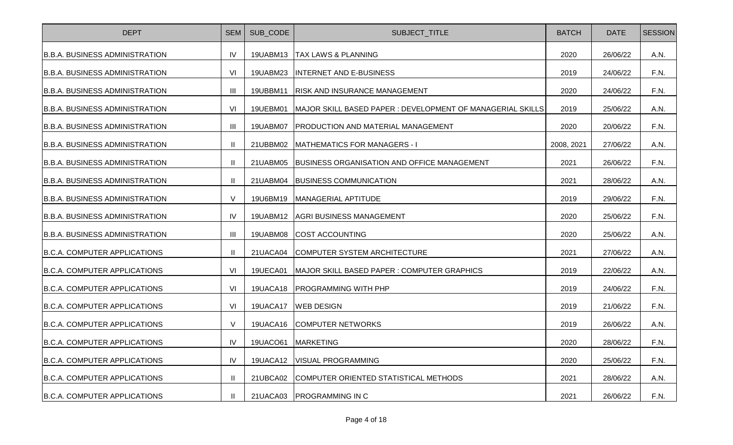| <b>DEPT</b>                           | <b>SEM</b>     | SUB CODE | SUBJECT_TITLE                                              | <b>BATCH</b> | <b>DATE</b> | <b>SESSION</b> |
|---------------------------------------|----------------|----------|------------------------------------------------------------|--------------|-------------|----------------|
| <b>B.B.A. BUSINESS ADMINISTRATION</b> | IV             |          | 19UABM13   TAX LAWS & PLANNING                             | 2020         | 26/06/22    | A.N.           |
| <b>B.B.A. BUSINESS ADMINISTRATION</b> | VI             | 19UABM23 | <b>INTERNET AND E-BUSINESS</b>                             | 2019         | 24/06/22    | F.N.           |
| <b>B.B.A. BUSINESS ADMINISTRATION</b> | Ш              | 19UBBM11 | <b>RISK AND INSURANCE MANAGEMENT</b>                       | 2020         | 24/06/22    | F.N.           |
| <b>B.B.A. BUSINESS ADMINISTRATION</b> | VI             | 19UEBM01 | MAJOR SKILL BASED PAPER : DEVELOPMENT OF MANAGERIAL SKILLS | 2019         | 25/06/22    | A.N.           |
| <b>B.B.A. BUSINESS ADMINISTRATION</b> | $\mathbf{III}$ | 19UABM07 | <b>PRODUCTION AND MATERIAL MANAGEMENT</b>                  | 2020         | 20/06/22    | F.N.           |
| B.B.A. BUSINESS ADMINISTRATION        | Ш              | 21UBBM02 | <b>MATHEMATICS FOR MANAGERS - I</b>                        | 2008, 2021   | 27/06/22    | A.N.           |
| <b>B.B.A. BUSINESS ADMINISTRATION</b> | $\mathbf{I}$   | 21UABM05 | <b>BUSINESS ORGANISATION AND OFFICE MANAGEMENT</b>         | 2021         | 26/06/22    | F.N.           |
| <b>B.B.A. BUSINESS ADMINISTRATION</b> | $\mathbf{II}$  | 21UABM04 | <b>BUSINESS COMMUNICATION</b>                              | 2021         | 28/06/22    | A.N.           |
| <b>B.B.A. BUSINESS ADMINISTRATION</b> | $\vee$         | 19U6BM19 | MANAGERIAL APTITUDE                                        | 2019         | 29/06/22    | F.N.           |
| <b>B.B.A. BUSINESS ADMINISTRATION</b> | IV             | 19UABM12 | <b>AGRI BUSINESS MANAGEMENT</b>                            | 2020         | 25/06/22    | F.N.           |
| <b>B.B.A. BUSINESS ADMINISTRATION</b> | Ш              | 19UABM08 | <b>COST ACCOUNTING</b>                                     | 2020         | 25/06/22    | A.N.           |
| B.C.A. COMPUTER APPLICATIONS          | $\mathbf{I}$   | 21UACA04 | <b>COMPUTER SYSTEM ARCHITECTURE</b>                        | 2021         | 27/06/22    | A.N.           |
| B.C.A. COMPUTER APPLICATIONS          | VI             | 19UECA01 | MAJOR SKILL BASED PAPER : COMPUTER GRAPHICS                | 2019         | 22/06/22    | A.N.           |
| B.C.A. COMPUTER APPLICATIONS          | VI             | 19UACA18 | <b>PROGRAMMING WITH PHP</b>                                | 2019         | 24/06/22    | F.N.           |
| B.C.A. COMPUTER APPLICATIONS          | VI             | 19UACA17 | <b>WEB DESIGN</b>                                          | 2019         | 21/06/22    | F.N.           |
| B.C.A. COMPUTER APPLICATIONS          | $\vee$         | 19UACA16 | <b>COMPUTER NETWORKS</b>                                   | 2019         | 26/06/22    | A.N.           |
| <b>B.C.A. COMPUTER APPLICATIONS</b>   | IV             | 19UACO61 | <b>MARKETING</b>                                           | 2020         | 28/06/22    | F.N.           |
| B.C.A. COMPUTER APPLICATIONS          | IV             | 19UACA12 | <b>IVISUAL PROGRAMMING</b>                                 | 2020         | 25/06/22    | F.N.           |
| <b>B.C.A. COMPUTER APPLICATIONS</b>   | Ш              | 21UBCA02 | COMPUTER ORIENTED STATISTICAL METHODS                      | 2021         | 28/06/22    | A.N.           |
| B.C.A. COMPUTER APPLICATIONS          | $\mathbf{I}$   | 21UACA03 | <b>PROGRAMMING IN C</b>                                    | 2021         | 26/06/22    | F.N.           |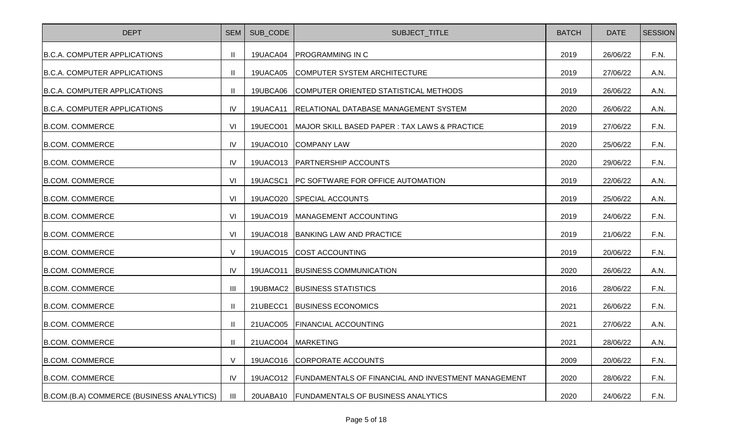| <b>DEPT</b>                                | <b>SEM</b> | SUB CODE        | SUBJECT_TITLE                                              | <b>BATCH</b> | <b>DATE</b> | <b>SESSION</b> |
|--------------------------------------------|------------|-----------------|------------------------------------------------------------|--------------|-------------|----------------|
| B.C.A. COMPUTER APPLICATIONS               | Ш          |                 | 19UACA04   PROGRAMMING IN C                                | 2019         | 26/06/22    | F.N.           |
| B.C.A. COMPUTER APPLICATIONS               | Ш          | 19UACA05        | COMPUTER SYSTEM ARCHITECTURE                               | 2019         | 27/06/22    | A.N.           |
| B.C.A. COMPUTER APPLICATIONS               | Ш          | 19UBCA06        | COMPUTER ORIENTED STATISTICAL METHODS                      | 2019         | 26/06/22    | A.N.           |
| <b>B.C.A. COMPUTER APPLICATIONS</b>        | IV         | 19UACA11        | RELATIONAL DATABASE MANAGEMENT SYSTEM                      | 2020         | 26/06/22    | A.N.           |
| <b>B.COM. COMMERCE</b>                     | VI         | 19UECO01        | MAJOR SKILL BASED PAPER : TAX LAWS & PRACTICE              | 2019         | 27/06/22    | F.N.           |
| <b>B.COM. COMMERCE</b>                     | IV.        | 19UACO10        | <b>COMPANY LAW</b>                                         | 2020         | 25/06/22    | F.N.           |
| <b>B.COM. COMMERCE</b>                     | IV         |                 | 19UACO13   PARTNERSHIP ACCOUNTS                            | 2020         | 29/06/22    | F.N.           |
| <b>B.COM. COMMERCE</b>                     | VI         | 19UACSC1        | <b>IPC SOFTWARE FOR OFFICE AUTOMATION</b>                  | 2019         | 22/06/22    | A.N.           |
| <b>B.COM. COMMERCE</b>                     | VI         |                 | 19UACO20 SPECIAL ACCOUNTS                                  | 2019         | 25/06/22    | A.N.           |
| <b>B.COM. COMMERCE</b>                     | VI         |                 | 19UACO19   MANAGEMENT ACCOUNTING                           | 2019         | 24/06/22    | F.N.           |
| <b>B.COM. COMMERCE</b>                     | VI         |                 | 19UACO18   BANKING LAW AND PRACTICE                        | 2019         | 21/06/22    | F.N.           |
| <b>B.COM. COMMERCE</b>                     | $\vee$     | 19UACO15        | <b>COST ACCOUNTING</b>                                     | 2019         | 20/06/22    | F.N.           |
| <b>B.COM. COMMERCE</b>                     | IV         | <b>19UACO11</b> | <b>BUSINESS COMMUNICATION</b>                              | 2020         | 26/06/22    | A.N.           |
| <b>B.COM. COMMERCE</b>                     | Ш          |                 | 19UBMAC2 BUSINESS STATISTICS                               | 2016         | 28/06/22    | F.N.           |
| <b>B.COM. COMMERCE</b>                     | Ш          | 21UBECC1        | <b>BUSINESS ECONOMICS</b>                                  | 2021         | 26/06/22    | F.N.           |
| <b>B.COM. COMMERCE</b>                     | Ш          |                 | 21UACO05 FINANCIAL ACCOUNTING                              | 2021         | 27/06/22    | A.N.           |
| <b>B.COM. COMMERCE</b>                     |            |                 | 21UACO04 MARKETING                                         | 2021         | 28/06/22    | A.N.           |
| <b>B.COM. COMMERCE</b>                     | $\vee$     | 19UACO16        | <b>CORPORATE ACCOUNTS</b>                                  | 2009         | 20/06/22    | F.N.           |
| <b>B.COM. COMMERCE</b>                     | IV         | 19UACO12        | <b>FUNDAMENTALS OF FINANCIAL AND INVESTMENT MANAGEMENT</b> | 2020         | 28/06/22    | F.N.           |
| B.COM. (B.A) COMMERCE (BUSINESS ANALYTICS) | $\  \ $    | 20UABA10        | <b>FUNDAMENTALS OF BUSINESS ANALYTICS</b>                  | 2020         | 24/06/22    | F.N.           |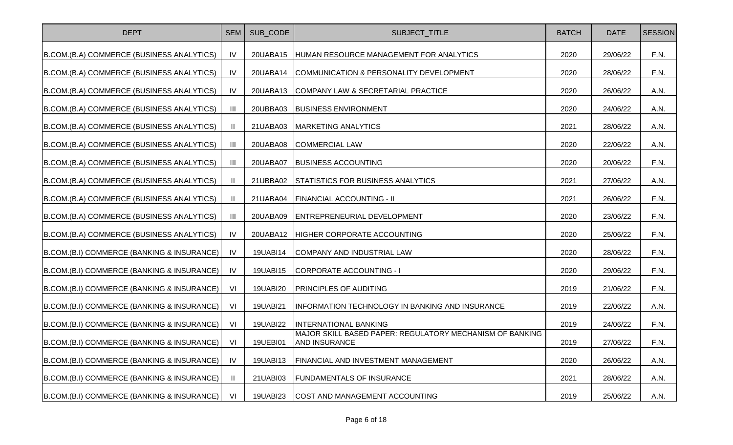| <b>DEPT</b>                                 | <b>SEM</b>     | SUB CODE        | SUBJECT_TITLE                                                                    | <b>BATCH</b> | <b>DATE</b> | <b>SESSION</b> |
|---------------------------------------------|----------------|-----------------|----------------------------------------------------------------------------------|--------------|-------------|----------------|
| B.COM.(B.A) COMMERCE (BUSINESS ANALYTICS)   | IV             | 20UABA15        | HUMAN RESOURCE MANAGEMENT FOR ANALYTICS                                          | 2020         | 29/06/22    | F.N.           |
| B.COM. (B.A) COMMERCE (BUSINESS ANALYTICS)  | IV             | 20UABA14        | COMMUNICATION & PERSONALITY DEVELOPMENT                                          | 2020         | 28/06/22    | F.N.           |
| B.COM. (B.A) COMMERCE (BUSINESS ANALYTICS)  | IV             | 20UABA13        | COMPANY LAW & SECRETARIAL PRACTICE                                               | 2020         | 26/06/22    | A.N.           |
| B.COM. (B.A) COMMERCE (BUSINESS ANALYTICS)  | $\mathbf{III}$ | 20UBBA03        | <b>BUSINESS ENVIRONMENT</b>                                                      | 2020         | 24/06/22    | A.N.           |
| B.COM. (B.A) COMMERCE (BUSINESS ANALYTICS)  |                | 21UABA03        | <b>MARKETING ANALYTICS</b>                                                       | 2021         | 28/06/22    | A.N.           |
| B.COM. (B.A) COMMERCE (BUSINESS ANALYTICS)  | Ш              | 20UABA08        | <b>COMMERCIAL LAW</b>                                                            | 2020         | 22/06/22    | A.N.           |
| B.COM. (B.A) COMMERCE (BUSINESS ANALYTICS)  | Ш              | 20UABA07        | <b>BUSINESS ACCOUNTING</b>                                                       | 2020         | 20/06/22    | F.N.           |
| B.COM.(B.A) COMMERCE (BUSINESS ANALYTICS)   |                | 21UBBA02        | STATISTICS FOR BUSINESS ANALYTICS                                                | 2021         | 27/06/22    | A.N.           |
| B.COM.(B.A) COMMERCE (BUSINESS ANALYTICS)   |                | 21UABA04        | <b>FINANCIAL ACCOUNTING - II</b>                                                 | 2021         | 26/06/22    | F.N.           |
| B.COM. (B.A) COMMERCE (BUSINESS ANALYTICS)  | Ш              | 20UABA09        | ENTREPRENEURIAL DEVELOPMENT                                                      | 2020         | 23/06/22    | F.N.           |
| B.COM. (B.A) COMMERCE (BUSINESS ANALYTICS)  | IV             | 20UABA12        | HIGHER CORPORATE ACCOUNTING                                                      | 2020         | 25/06/22    | F.N.           |
| B.COM.(B.I) COMMERCE (BANKING & INSURANCE)  | IV             | 19UABI14        | COMPANY AND INDUSTRIAL LAW                                                       | 2020         | 28/06/22    | F.N.           |
| B.COM.(B.I) COMMERCE (BANKING & INSURANCE)  | IV             | 19UABI15        | CORPORATE ACCOUNTING - I                                                         | 2020         | 29/06/22    | F.N.           |
| B.COM. (B.I) COMMERCE (BANKING & INSURANCE) | VI             | 19UABI20        | <b>PRINCIPLES OF AUDITING</b>                                                    | 2019         | 21/06/22    | F.N.           |
| B.COM. (B.I) COMMERCE (BANKING & INSURANCE) | VI             | <b>19UABI21</b> | INFORMATION TECHNOLOGY IN BANKING AND INSURANCE                                  | 2019         | 22/06/22    | A.N.           |
| B.COM.(B.I) COMMERCE (BANKING & INSURANCE)  | VI             | 19UABI22        | <b>INTERNATIONAL BANKING</b>                                                     | 2019         | 24/06/22    | F.N.           |
| B.COM. (B.I) COMMERCE (BANKING & INSURANCE) | VI             | <b>19UEBI01</b> | MAJOR SKILL BASED PAPER: REGULATORY MECHANISM OF BANKING<br><b>AND INSURANCE</b> | 2019         | 27/06/22    | F.N.           |
| B.COM. (B.I) COMMERCE (BANKING & INSURANCE) | <b>IV</b>      | 19UABI13        | <b>FINANCIAL AND INVESTMENT MANAGEMENT</b>                                       | 2020         | 26/06/22    | A.N.           |
| B.COM. (B.I) COMMERCE (BANKING & INSURANCE) |                | 21UABI03        | <b>FUNDAMENTALS OF INSURANCE</b>                                                 | 2021         | 28/06/22    | A.N.           |
| B.COM. (B.I) COMMERCE (BANKING & INSURANCE) | VI             | 19UABI23        | <b>COST AND MANAGEMENT ACCOUNTING</b>                                            | 2019         | 25/06/22    | A.N.           |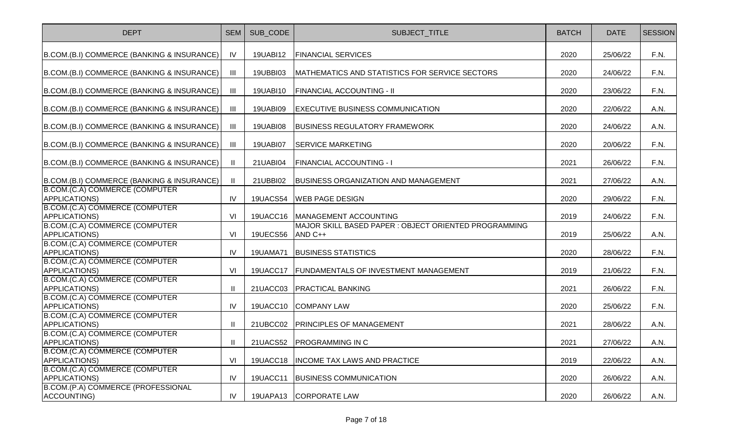| <b>DEPT</b>                                             | <b>SEM</b>     | SUB CODE        | SUBJECT_TITLE                                                    | <b>BATCH</b> | <b>DATE</b> | <b>SESSION</b> |
|---------------------------------------------------------|----------------|-----------------|------------------------------------------------------------------|--------------|-------------|----------------|
| B.COM.(B.I) COMMERCE (BANKING & INSURANCE)              | IV             | 19UABI12        | <b>FINANCIAL SERVICES</b>                                        | 2020         | 25/06/22    | F.N.           |
| B.COM.(B.I) COMMERCE (BANKING & INSURANCE)              | Ш              | 19UBBI03        | MATHEMATICS AND STATISTICS FOR SERVICE SECTORS                   | 2020         | 24/06/22    | F.N.           |
| B.COM.(B.I) COMMERCE (BANKING & INSURANCE)              | $\mathbf{III}$ | 19UABI10        | <b>FINANCIAL ACCOUNTING - II</b>                                 | 2020         | 23/06/22    | F.N.           |
| B.COM.(B.I) COMMERCE (BANKING & INSURANCE)              | $\mathbf{III}$ | 19UABI09        | <b>EXECUTIVE BUSINESS COMMUNICATION</b>                          | 2020         | 22/06/22    | A.N.           |
| B.COM.(B.I) COMMERCE (BANKING & INSURANCE)              | Ш              | 19UABI08        | <b>BUSINESS REGULATORY FRAMEWORK</b>                             | 2020         | 24/06/22    | A.N.           |
| B.COM.(B.I) COMMERCE (BANKING & INSURANCE)              | $\mathbf{III}$ | 19UABI07        | <b>SERVICE MARKETING</b>                                         | 2020         | 20/06/22    | F.N.           |
| B.COM.(B.I) COMMERCE (BANKING & INSURANCE)              | $\mathbf{H}$   | 21UABI04        | <b>FINANCIAL ACCOUNTING - I</b>                                  | 2021         | 26/06/22    | F.N.           |
| B.COM.(B.I) COMMERCE (BANKING & INSURANCE)              | $\mathbf{II}$  | 21UBBI02        | <b>BUSINESS ORGANIZATION AND MANAGEMENT</b>                      | 2021         | 27/06/22    | A.N.           |
| B.COM.(C.A) COMMERCE (COMPUTER<br><b>APPLICATIONS)</b>  | IV             | 19UACS54        | <b>WEB PAGE DESIGN</b>                                           | 2020         | 29/06/22    | F.N.           |
| B.COM.(C.A) COMMERCE (COMPUTER<br><b>APPLICATIONS)</b>  | VI             | 19UACC16        | MANAGEMENT ACCOUNTING                                            | 2019         | 24/06/22    | F.N.           |
| B.COM.(C.A) COMMERCE (COMPUTER<br>APPLICATIONS)         | VI             | <b>19UECS56</b> | MAJOR SKILL BASED PAPER : OBJECT ORIENTED PROGRAMMING<br>AND C++ | 2019         | 25/06/22    | A.N.           |
| B.COM.(C.A) COMMERCE (COMPUTER<br>APPLICATIONS)         | IV             | 19UAMA71        | <b>BUSINESS STATISTICS</b>                                       | 2020         | 28/06/22    | F.N.           |
| B.COM.(C.A) COMMERCE (COMPUTER<br>APPLICATIONS)         | VI             | 19UACC17        | FUNDAMENTALS OF INVESTMENT MANAGEMENT                            | 2019         | 21/06/22    | F.N.           |
| B.COM.(C.A) COMMERCE (COMPUTER<br><b>APPLICATIONS)</b>  | $\mathbf{I}$   | 21UACC03        | <b>PRACTICAL BANKING</b>                                         | 2021         | 26/06/22    | F.N.           |
| B.COM.(C.A) COMMERCE (COMPUTER<br><b>APPLICATIONS)</b>  | IV             | 19UACC10        | <b>COMPANY LAW</b>                                               | 2020         | 25/06/22    | F.N.           |
| B.COM.(C.A) COMMERCE (COMPUTER<br><b>APPLICATIONS</b> ) | $\mathbf{II}$  | 21UBCC02        | <b>PRINCIPLES OF MANAGEMENT</b>                                  | 2021         | 28/06/22    | A.N.           |
| B.COM.(C.A) COMMERCE (COMPUTER<br>APPLICATIONS)         | $\mathbf{I}$   |                 | 21UACS52 PROGRAMMING IN C                                        | 2021         | 27/06/22    | A.N.           |
| B.COM.(C.A) COMMERCE (COMPUTER<br><b>APPLICATIONS)</b>  | VI             | 19UACC18        | <b>INCOME TAX LAWS AND PRACTICE</b>                              | 2019         | 22/06/22    | A.N.           |
| B.COM.(C.A) COMMERCE (COMPUTER<br><b>APPLICATIONS)</b>  | IV             | 19UACC11        | <b>BUSINESS COMMUNICATION</b>                                    | 2020         | 26/06/22    | A.N.           |
| B.COM.(P.A) COMMERCE (PROFESSIONAL<br>ACCOUNTING)       | IV             | 19UAPA13        | <b>CORPORATE LAW</b>                                             | 2020         | 26/06/22    | A.N.           |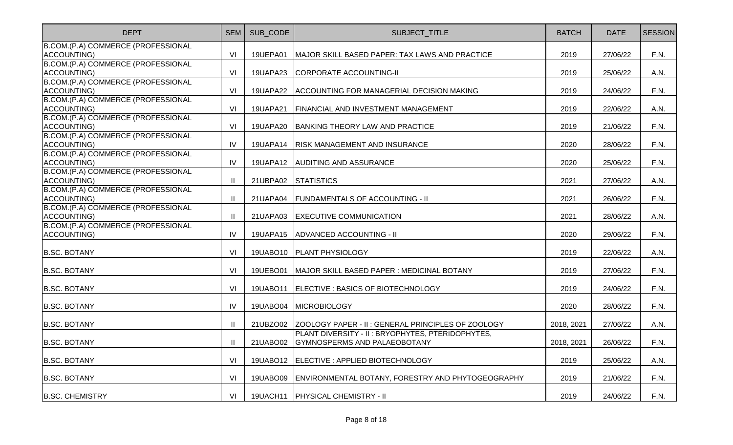| <b>DEPT</b>                                       | <b>SEM</b>   | SUB_CODE        | SUBJECT_TITLE                                               | <b>BATCH</b> | <b>DATE</b> | <b>SESSION</b> |
|---------------------------------------------------|--------------|-----------------|-------------------------------------------------------------|--------------|-------------|----------------|
| B.COM.(P.A) COMMERCE (PROFESSIONAL                |              |                 |                                                             |              |             |                |
| ACCOUNTING)                                       | VI           | 19UEPA01        | MAJOR SKILL BASED PAPER: TAX LAWS AND PRACTICE              | 2019         | 27/06/22    | F.N.           |
| B.COM.(P.A) COMMERCE (PROFESSIONAL                |              |                 |                                                             |              |             |                |
| ACCOUNTING)                                       | VI           | 19UAPA23        | CORPORATE ACCOUNTING-II                                     | 2019         | 25/06/22    | A.N.           |
| B.COM.(P.A) COMMERCE (PROFESSIONAL<br>ACCOUNTING) | VI           | 19UAPA22        | ACCOUNTING FOR MANAGERIAL DECISION MAKING                   | 2019         | 24/06/22    | F.N.           |
| B.COM.(P.A) COMMERCE (PROFESSIONAL                |              |                 |                                                             |              |             |                |
| ACCOUNTING)                                       | VI           | <b>19UAPA21</b> | FINANCIAL AND INVESTMENT MANAGEMENT                         | 2019         | 22/06/22    | A.N.           |
| B.COM.(P.A) COMMERCE (PROFESSIONAL                |              |                 |                                                             |              |             |                |
| ACCOUNTING)                                       | VI           | 19UAPA20        | BANKING THEORY LAW AND PRACTICE                             | 2019         | 21/06/22    | F.N.           |
| B.COM.(P.A) COMMERCE (PROFESSIONAL                |              |                 |                                                             |              |             |                |
| <b>ACCOUNTING)</b>                                | IV           | 19UAPA14        | <b>RISK MANAGEMENT AND INSURANCE</b>                        | 2020         | 28/06/22    | F.N.           |
| B.COM.(P.A) COMMERCE (PROFESSIONAL                |              |                 |                                                             |              |             |                |
| ACCOUNTING)                                       | IV           |                 | 19UAPA12 AUDITING AND ASSURANCE                             | 2020         | 25/06/22    | F.N.           |
| B.COM.(P.A) COMMERCE (PROFESSIONAL                |              |                 |                                                             |              |             |                |
| ACCOUNTING)                                       | Ш            | 21UBPA02        | <b>STATISTICS</b>                                           | 2021         | 27/06/22    | A.N.           |
| B.COM.(P.A) COMMERCE (PROFESSIONAL                |              |                 |                                                             |              |             |                |
| ACCOUNTING)                                       | $\mathbf{H}$ | 21UAPA04        | <b>FUNDAMENTALS OF ACCOUNTING - II</b>                      | 2021         | 26/06/22    | F.N.           |
| B.COM.(P.A) COMMERCE (PROFESSIONAL                |              |                 |                                                             |              |             |                |
| ACCOUNTING)                                       | $\mathbf{H}$ | 21UAPA03        | <b>EXECUTIVE COMMUNICATION</b>                              | 2021         | 28/06/22    | A.N.           |
| B.COM.(P.A) COMMERCE (PROFESSIONAL                |              |                 |                                                             |              |             |                |
| ACCOUNTING)                                       | IV           | 19UAPA15        | ADVANCED ACCOUNTING - II                                    | 2020         | 29/06/22    | F.N.           |
| <b>B.SC. BOTANY</b>                               | VI           |                 | 19UABO10   PLANT PHYSIOLOGY                                 | 2019         | 22/06/22    | A.N.           |
| <b>B.SC. BOTANY</b>                               | VI           | 19UEBO01        | MAJOR SKILL BASED PAPER : MEDICINAL BOTANY                  | 2019         | 27/06/22    | F.N.           |
| <b>B.SC. BOTANY</b>                               | VI           | 19UABO11        | ELECTIVE : BASICS OF BIOTECHNOLOGY                          | 2019         | 24/06/22    | F.N.           |
| <b>B.SC. BOTANY</b>                               | IV           | 19UABO04        | MICROBIOLOGY                                                | 2020         | 28/06/22    | F.N.           |
|                                                   |              |                 |                                                             |              |             |                |
| <b>B.SC. BOTANY</b>                               | Ш            |                 | 21UBZ002 ZOOLOGY PAPER - II : GENERAL PRINCIPLES OF ZOOLOGY | 2018, 2021   | 27/06/22    | A.N.           |
|                                                   |              |                 | PLANT DIVERSITY - II : BRYOPHYTES, PTERIDOPHYTES,           |              |             |                |
| <b>B.SC. BOTANY</b>                               | Ш            | 21UABO02        | GYMNOSPERMS AND PALAEOBOTANY                                | 2018, 2021   | 26/06/22    | F.N.           |
| <b>B.SC. BOTANY</b>                               | VI           |                 | 19UABO12   ELECTIVE : APPLIED BIOTECHNOLOGY                 | 2019         | 25/06/22    | A.N.           |
| <b>B.SC. BOTANY</b>                               | VI           | 19UABO09        | ENVIRONMENTAL BOTANY, FORESTRY AND PHYTOGEOGRAPHY           | 2019         | 21/06/22    | F.N.           |
| <b>B.SC. CHEMISTRY</b>                            | VI           |                 | 19UACH11   PHYSICAL CHEMISTRY - II                          | 2019         | 24/06/22    | F.N.           |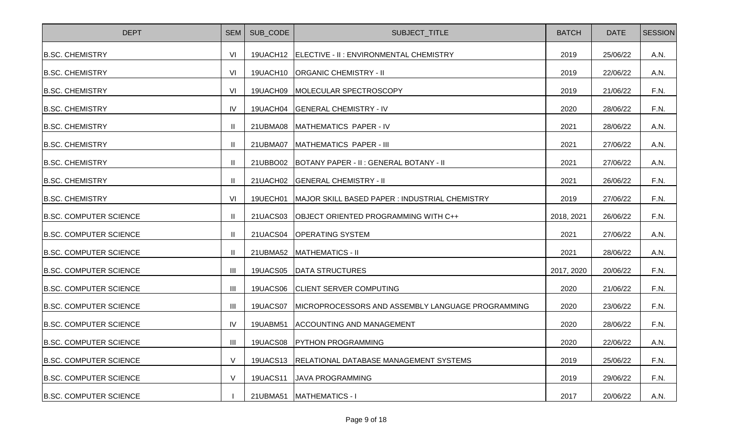| <b>DEPT</b>                   | <b>SEM</b>     | SUB_CODE        | SUBJECT_TITLE                                     | <b>BATCH</b> | <b>DATE</b> | <b>SESSION</b> |
|-------------------------------|----------------|-----------------|---------------------------------------------------|--------------|-------------|----------------|
| <b>B.SC. CHEMISTRY</b>        | VI             | 19UACH12        | ELECTIVE - II : ENVIRONMENTAL CHEMISTRY           | 2019         | 25/06/22    | A.N.           |
| <b>B.SC. CHEMISTRY</b>        | VI             | 19UACH10        | <b>ORGANIC CHEMISTRY - II</b>                     | 2019         | 22/06/22    | A.N.           |
| <b>B.SC. CHEMISTRY</b>        | VI             | 19UACH09        | MOLECULAR SPECTROSCOPY                            | 2019         | 21/06/22    | F.N.           |
| <b>B.SC. CHEMISTRY</b>        | IV             | 19UACH04        | <b>GENERAL CHEMISTRY - IV</b>                     | 2020         | 28/06/22    | F.N.           |
| <b>B.SC. CHEMISTRY</b>        |                | 21UBMA08        | MATHEMATICS PAPER - IV                            | 2021         | 28/06/22    | A.N.           |
| <b>B.SC. CHEMISTRY</b>        | Ш              | 21UBMA07        | MATHEMATICS PAPER - III                           | 2021         | 27/06/22    | A.N.           |
| <b>B.SC. CHEMISTRY</b>        | Ш              | 21UBBO02        | <b>BOTANY PAPER - II: GENERAL BOTANY - II</b>     | 2021         | 27/06/22    | A.N.           |
| <b>B.SC. CHEMISTRY</b>        | H              | 21UACH02        | <b>GENERAL CHEMISTRY - II</b>                     | 2021         | 26/06/22    | F.N.           |
| <b>B.SC. CHEMISTRY</b>        | VI             | 19UECH01        | MAJOR SKILL BASED PAPER : INDUSTRIAL CHEMISTRY    | 2019         | 27/06/22    | F.N.           |
| <b>B.SC. COMPUTER SCIENCE</b> | H              | 21UACS03        | OBJECT ORIENTED PROGRAMMING WITH C++              | 2018, 2021   | 26/06/22    | F.N.           |
| <b>B.SC. COMPUTER SCIENCE</b> | H.             | 21UACS04        | <b>OPERATING SYSTEM</b>                           | 2021         | 27/06/22    | A.N.           |
| <b>B.SC. COMPUTER SCIENCE</b> | $\mathbf{H}$   | 21UBMA52        | <b>MATHEMATICS - II</b>                           | 2021         | 28/06/22    | A.N.           |
| <b>B.SC. COMPUTER SCIENCE</b> | III            | 19UACS05        | <b>DATA STRUCTURES</b>                            | 2017, 2020   | 20/06/22    | F.N.           |
| <b>B.SC. COMPUTER SCIENCE</b> | III            | 19UACS06        | <b>CLIENT SERVER COMPUTING</b>                    | 2020         | 21/06/22    | F.N.           |
| <b>B.SC. COMPUTER SCIENCE</b> | III            | 19UACS07        | MICROPROCESSORS AND ASSEMBLY LANGUAGE PROGRAMMING | 2020         | 23/06/22    | F.N.           |
| <b>B.SC. COMPUTER SCIENCE</b> | IV             | 19UABM51        | <b>ACCOUNTING AND MANAGEMENT</b>                  | 2020         | 28/06/22    | F.N.           |
| <b>B.SC. COMPUTER SCIENCE</b> | $\mathbf{III}$ | 19UACS08        | <b>PYTHON PROGRAMMING</b>                         | 2020         | 22/06/22    | A.N.           |
| <b>B.SC. COMPUTER SCIENCE</b> | $\vee$         | <b>19UACS13</b> | RELATIONAL DATABASE MANAGEMENT SYSTEMS            | 2019         | 25/06/22    | F.N.           |
| <b>B.SC. COMPUTER SCIENCE</b> | $\vee$         | <b>19UACS11</b> | <b>JAVA PROGRAMMING</b>                           | 2019         | 29/06/22    | F.N.           |
| <b>B.SC. COMPUTER SCIENCE</b> |                | 21UBMA51        | <b>MATHEMATICS - I</b>                            | 2017         | 20/06/22    | A.N.           |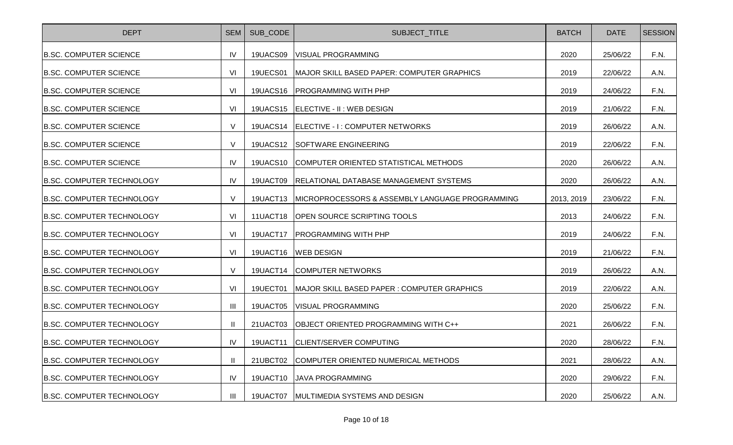| <b>DEPT</b>                      | SEM            | SUB CODE        | SUBJECT_TITLE                                   | <b>BATCH</b> | <b>DATE</b> | <b>SESSION</b> |
|----------------------------------|----------------|-----------------|-------------------------------------------------|--------------|-------------|----------------|
| <b>B.SC. COMPUTER SCIENCE</b>    | IV             | 19UACS09        | <b>VISUAL PROGRAMMING</b>                       | 2020         | 25/06/22    | F.N.           |
| <b>B.SC. COMPUTER SCIENCE</b>    | VI             | 19UECS01        | MAJOR SKILL BASED PAPER: COMPUTER GRAPHICS      | 2019         | 22/06/22    | A.N.           |
| <b>B.SC. COMPUTER SCIENCE</b>    | VI             | <b>19UACS16</b> | <b>PROGRAMMING WITH PHP</b>                     | 2019         | 24/06/22    | F.N.           |
| <b>B.SC. COMPUTER SCIENCE</b>    | VI             | <b>19UACS15</b> | ELECTIVE - II: WEB DESIGN                       | 2019         | 21/06/22    | F.N.           |
| <b>B.SC. COMPUTER SCIENCE</b>    | $\vee$         | 19UACS14        | ELECTIVE - I: COMPUTER NETWORKS                 | 2019         | 26/06/22    | A.N.           |
| <b>B.SC. COMPUTER SCIENCE</b>    | $\vee$         | <b>19UACS12</b> | <b>SOFTWARE ENGINEERING</b>                     | 2019         | 22/06/22    | F.N.           |
| <b>B.SC. COMPUTER SCIENCE</b>    | IV             | <b>19UACS10</b> | COMPUTER ORIENTED STATISTICAL METHODS           | 2020         | 26/06/22    | A.N.           |
| <b>B.SC. COMPUTER TECHNOLOGY</b> | IV             | 19UACT09        | <b>RELATIONAL DATABASE MANAGEMENT SYSTEMS</b>   | 2020         | 26/06/22    | A.N.           |
| <b>B.SC. COMPUTER TECHNOLOGY</b> | $\vee$         | 19UACT13        | MICROPROCESSORS & ASSEMBLY LANGUAGE PROGRAMMING | 2013, 2019   | 23/06/22    | F.N.           |
| <b>B.SC. COMPUTER TECHNOLOGY</b> | VI             | 11UACT18        | <b>OPEN SOURCE SCRIPTING TOOLS</b>              | 2013         | 24/06/22    | F.N.           |
| <b>B.SC. COMPUTER TECHNOLOGY</b> | VI             | 19UACT17        | <b>PROGRAMMING WITH PHP</b>                     | 2019         | 24/06/22    | F.N.           |
| <b>B.SC. COMPUTER TECHNOLOGY</b> | VI             | 19UACT16        | <b>WEB DESIGN</b>                               | 2019         | 21/06/22    | F.N.           |
| <b>B.SC. COMPUTER TECHNOLOGY</b> | $\vee$         | 19UACT14        | <b>COMPUTER NETWORKS</b>                        | 2019         | 26/06/22    | A.N.           |
| <b>B.SC. COMPUTER TECHNOLOGY</b> | VI             | 19UECT01        | MAJOR SKILL BASED PAPER : COMPUTER GRAPHICS     | 2019         | 22/06/22    | A.N.           |
| <b>B.SC. COMPUTER TECHNOLOGY</b> | Ш              | 19UACT05        | <b>VISUAL PROGRAMMING</b>                       | 2020         | 25/06/22    | F.N.           |
| <b>B.SC. COMPUTER TECHNOLOGY</b> | $\mathbf{II}$  | 21UACT03        | OBJECT ORIENTED PROGRAMMING WITH C++            | 2021         | 26/06/22    | F.N.           |
| <b>B.SC. COMPUTER TECHNOLOGY</b> | IV             | 19UACT11        | <b>CLIENT/SERVER COMPUTING</b>                  | 2020         | 28/06/22    | F.N.           |
| IB.SC. COMPUTER TECHNOLOGY       | $\mathbf{I}$   | 21UBCT02        | COMPUTER ORIENTED NUMERICAL METHODS             | 2021         | 28/06/22    | A.N.           |
| <b>B.SC. COMPUTER TECHNOLOGY</b> | IV             | 19UACT10        | <b>JAVA PROGRAMMING</b>                         | 2020         | 29/06/22    | F.N.           |
| <b>B.SC. COMPUTER TECHNOLOGY</b> | $\mathbf{III}$ | 19UACT07        | <b>MULTIMEDIA SYSTEMS AND DESIGN</b>            | 2020         | 25/06/22    | A.N.           |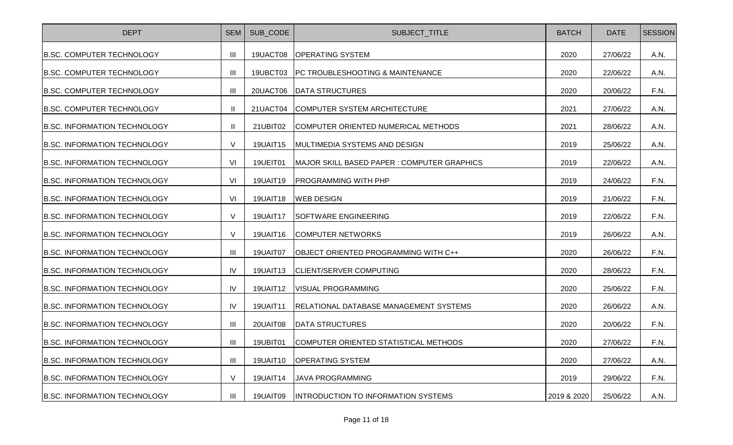| <b>DEPT</b>                         | <b>SEM</b>     | SUB_CODE        | SUBJECT_TITLE                               | <b>BATCH</b> | <b>DATE</b> | <b>SESSION</b> |
|-------------------------------------|----------------|-----------------|---------------------------------------------|--------------|-------------|----------------|
| <b>B.SC. COMPUTER TECHNOLOGY</b>    | $\mathbf{III}$ | 19UACT08        | <b>OPERATING SYSTEM</b>                     | 2020         | 27/06/22    | A.N.           |
| <b>B.SC. COMPUTER TECHNOLOGY</b>    | Ш              | 19UBCT03        | PC TROUBLESHOOTING & MAINTENANCE            | 2020         | 22/06/22    | A.N.           |
| <b>B.SC. COMPUTER TECHNOLOGY</b>    | $\mathbf{III}$ | 20UACT06        | <b>DATA STRUCTURES</b>                      | 2020         | 20/06/22    | F.N.           |
| <b>B.SC. COMPUTER TECHNOLOGY</b>    | $\mathbf{I}$   | 21UACT04        | COMPUTER SYSTEM ARCHITECTURE                | 2021         | 27/06/22    | A.N.           |
| <b>B.SC. INFORMATION TECHNOLOGY</b> | $\mathbf{I}$   | 21UBIT02        | COMPUTER ORIENTED NUMERICAL METHODS         | 2021         | 28/06/22    | A.N.           |
| <b>B.SC. INFORMATION TECHNOLOGY</b> | $\vee$         | 19UAIT15        | MULTIMEDIA SYSTEMS AND DESIGN               | 2019         | 25/06/22    | A.N.           |
| <b>B.SC. INFORMATION TECHNOLOGY</b> | VI             | 19UEIT01        | MAJOR SKILL BASED PAPER : COMPUTER GRAPHICS | 2019         | 22/06/22    | A.N.           |
| <b>B.SC. INFORMATION TECHNOLOGY</b> | VI             | 19UAIT19        | <b>PROGRAMMING WITH PHP</b>                 | 2019         | 24/06/22    | F.N.           |
| <b>B.SC. INFORMATION TECHNOLOGY</b> | VI             | 19UAIT18        | <b>WEB DESIGN</b>                           | 2019         | 21/06/22    | F.N.           |
| <b>B.SC. INFORMATION TECHNOLOGY</b> | $\vee$         | 19UAIT17        | <b>SOFTWARE ENGINEERING</b>                 | 2019         | 22/06/22    | F.N.           |
| <b>B.SC. INFORMATION TECHNOLOGY</b> | $\vee$         | 19UAIT16        | <b>COMPUTER NETWORKS</b>                    | 2019         | 26/06/22    | A.N.           |
| <b>B.SC. INFORMATION TECHNOLOGY</b> | $\mathbf{III}$ | 19UAIT07        | OBJECT ORIENTED PROGRAMMING WITH C++        | 2020         | 26/06/22    | F.N.           |
| <b>B.SC. INFORMATION TECHNOLOGY</b> | IV             | 19UAIT13        | CLIENT/SERVER COMPUTING                     | 2020         | 28/06/22    | F.N.           |
| <b>B.SC. INFORMATION TECHNOLOGY</b> | IV             | 19UAIT12        | <b>VISUAL PROGRAMMING</b>                   | 2020         | 25/06/22    | F.N.           |
| <b>B.SC. INFORMATION TECHNOLOGY</b> | IV             | <b>19UAIT11</b> | RELATIONAL DATABASE MANAGEMENT SYSTEMS      | 2020         | 26/06/22    | A.N.           |
| <b>B.SC. INFORMATION TECHNOLOGY</b> | $\mathbf{III}$ | 20UAIT08        | <b>DATA STRUCTURES</b>                      | 2020         | 20/06/22    | F.N.           |
| <b>B.SC. INFORMATION TECHNOLOGY</b> | $\mathbf{III}$ | 19UBIT01        | COMPUTER ORIENTED STATISTICAL METHODS       | 2020         | 27/06/22    | F.N.           |
| <b>B.SC. INFORMATION TECHNOLOGY</b> | $\mathbf{III}$ | 19UAIT10        | <b>OPERATING SYSTEM</b>                     | 2020         | 27/06/22    | A.N.           |
| <b>B.SC. INFORMATION TECHNOLOGY</b> | $\vee$         | 19UAIT14        | <b>JAVA PROGRAMMING</b>                     | 2019         | 29/06/22    | F.N.           |
| <b>B.SC. INFORMATION TECHNOLOGY</b> | $\mathbf{III}$ | 19UAIT09        | <b>INTRODUCTION TO INFORMATION SYSTEMS</b>  | 2019 & 2020  | 25/06/22    | A.N.           |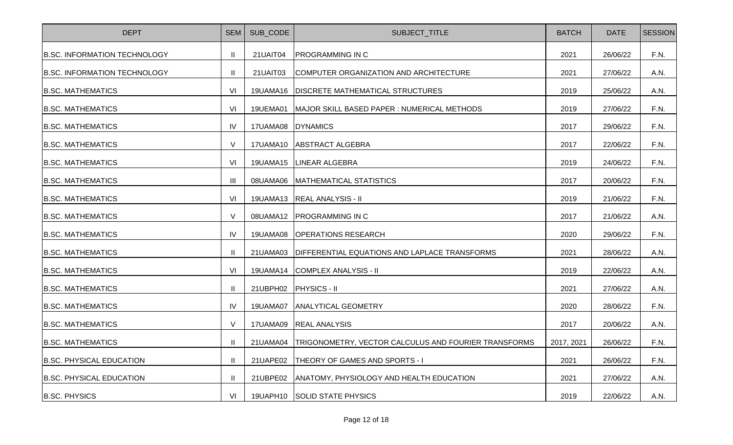| <b>DEPT</b>                         | <b>SEM</b>     | SUB_CODE          | SUBJECT_TITLE                                        | <b>BATCH</b> | <b>DATE</b> | <b>SESSION</b> |
|-------------------------------------|----------------|-------------------|------------------------------------------------------|--------------|-------------|----------------|
| <b>B.SC. INFORMATION TECHNOLOGY</b> | $\mathbf{II}$  | 21UAIT04          | <b>PROGRAMMING IN C</b>                              | 2021         | 26/06/22    | F.N.           |
| <b>B.SC. INFORMATION TECHNOLOGY</b> | Ш              | 21UAIT03          | COMPUTER ORGANIZATION AND ARCHITECTURE               | 2021         | 27/06/22    | A.N.           |
| <b>B.SC. MATHEMATICS</b>            | VI             |                   | 19UAMA16   DISCRETE MATHEMATICAL STRUCTURES          | 2019         | 25/06/22    | A.N.           |
| <b>B.SC. MATHEMATICS</b>            | VI             | 19UEMA01          | MAJOR SKILL BASED PAPER : NUMERICAL METHODS          | 2019         | 27/06/22    | F.N.           |
| <b>B.SC. MATHEMATICS</b>            | IV             | 17UAMA08 DYNAMICS |                                                      | 2017         | 29/06/22    | F.N.           |
| <b>B.SC. MATHEMATICS</b>            | $\vee$         | 17UAMA10          | <b>ABSTRACT ALGEBRA</b>                              | 2017         | 22/06/22    | F.N.           |
| <b>B.SC. MATHEMATICS</b>            | VI             |                   | 19UAMA15   LINEAR ALGEBRA                            | 2019         | 24/06/22    | F.N.           |
| <b>B.SC. MATHEMATICS</b>            | $\mathbf{III}$ | 08UAMA06          | MATHEMATICAL STATISTICS                              | 2017         | 20/06/22    | F.N.           |
| <b>B.SC. MATHEMATICS</b>            | VI             |                   | 19UAMA13   REAL ANALYSIS - II                        | 2019         | 21/06/22    | F.N.           |
| <b>B.SC. MATHEMATICS</b>            | $\vee$         | 08UAMA12          | <b>PROGRAMMING IN C</b>                              | 2017         | 21/06/22    | A.N.           |
| <b>B.SC. MATHEMATICS</b>            | IV             | 19UAMA08          | <b>OPERATIONS RESEARCH</b>                           | 2020         | 29/06/22    | F.N.           |
| <b>B.SC. MATHEMATICS</b>            | $\mathbf{I}$   | 21UAMA03          | DIFFERENTIAL EQUATIONS AND LAPLACE TRANSFORMS        | 2021         | 28/06/22    | A.N.           |
| <b>B.SC. MATHEMATICS</b>            | VI             | 19UAMA14          | COMPLEX ANALYSIS - II                                | 2019         | 22/06/22    | A.N.           |
| <b>B.SC. MATHEMATICS</b>            | $\mathbf{H}$   | 21UBPH02          | <b>PHYSICS - II</b>                                  | 2021         | 27/06/22    | A.N.           |
| <b>B.SC. MATHEMATICS</b>            | IV             | 19UAMA07          | <b>ANALYTICAL GEOMETRY</b>                           | 2020         | 28/06/22    | F.N.           |
| <b>B.SC. MATHEMATICS</b>            | $\vee$         |                   | 17UAMA09 REAL ANALYSIS                               | 2017         | 20/06/22    | A.N.           |
| <b>B.SC. MATHEMATICS</b>            | $\mathbf{H}$   | 21UAMA04          | TRIGONOMETRY, VECTOR CALCULUS AND FOURIER TRANSFORMS | 2017, 2021   | 26/06/22    | F.N.           |
| <b>B.SC. PHYSICAL EDUCATION</b>     | $\mathbf{H}$   | 21UAPE02          | <b>THEORY OF GAMES AND SPORTS - I</b>                | 2021         | 26/06/22    | F.N.           |
| <b>B.SC. PHYSICAL EDUCATION</b>     | Ш              | 21UBPE02          | ANATOMY, PHYSIOLOGY AND HEALTH EDUCATION             | 2021         | 27/06/22    | A.N.           |
| <b>B.SC. PHYSICS</b>                | VI             |                   | 19UAPH10 SOLID STATE PHYSICS                         | 2019         | 22/06/22    | A.N.           |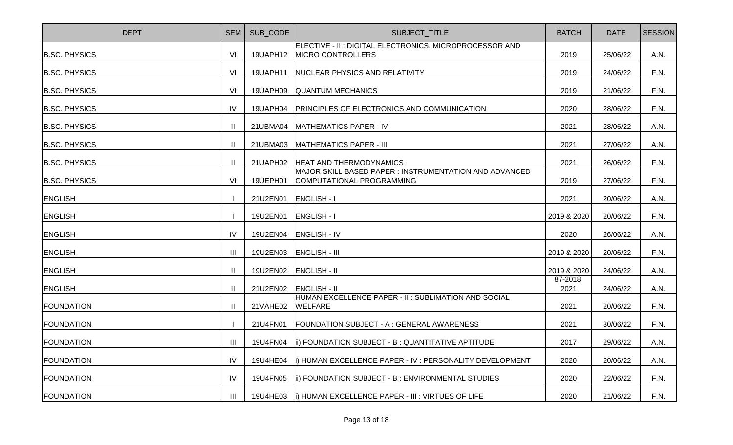| <b>DEPT</b>          | <b>SEM</b>    | SUB CODE | SUBJECT_TITLE                                                                       | <b>BATCH</b>     | <b>DATE</b> | <b>SESSION</b> |
|----------------------|---------------|----------|-------------------------------------------------------------------------------------|------------------|-------------|----------------|
| <b>B.SC. PHYSICS</b> | VI            | 19UAPH12 | ELECTIVE - II : DIGITAL ELECTRONICS, MICROPROCESSOR AND<br>MICRO CONTROLLERS        | 2019             | 25/06/22    | A.N.           |
| <b>B.SC. PHYSICS</b> | VI            | 19UAPH11 | NUCLEAR PHYSICS AND RELATIVITY                                                      | 2019             | 24/06/22    | F.N.           |
| <b>B.SC. PHYSICS</b> | VI            | 19UAPH09 | <b>QUANTUM MECHANICS</b>                                                            | 2019             | 21/06/22    | F.N.           |
| <b>B.SC. PHYSICS</b> | IV            | 19UAPH04 | <b>PRINCIPLES OF ELECTRONICS AND COMMUNICATION</b>                                  | 2020             | 28/06/22    | F.N.           |
| <b>B.SC. PHYSICS</b> |               | 21UBMA04 | MATHEMATICS PAPER - IV                                                              | 2021             | 28/06/22    | A.N.           |
| <b>B.SC. PHYSICS</b> |               | 21UBMA03 | MATHEMATICS PAPER - III                                                             | 2021             | 27/06/22    | A.N.           |
| <b>B.SC. PHYSICS</b> |               | 21UAPH02 | <b>HEAT AND THERMODYNAMICS</b>                                                      | 2021             | 26/06/22    | F.N.           |
| <b>B.SC. PHYSICS</b> | VI            | 19UEPH01 | MAJOR SKILL BASED PAPER : INSTRUMENTATION AND ADVANCED<br>COMPUTATIONAL PROGRAMMING | 2019             | 27/06/22    | F.N.           |
| <b>ENGLISH</b>       |               | 21U2EN01 | <b>ENGLISH-I</b>                                                                    | 2021             | 20/06/22    | A.N.           |
| <b>ENGLISH</b>       |               | 19U2EN01 | <b>ENGLISH-I</b>                                                                    | 2019 & 2020      | 20/06/22    | F.N.           |
| <b>ENGLISH</b>       | IV            | 19U2EN04 | <b>ENGLISH - IV</b>                                                                 | 2020             | 26/06/22    | A.N.           |
| <b>ENGLISH</b>       | Ш             | 19U2EN03 | <b>ENGLISH - III</b>                                                                | 2019 & 2020      | 20/06/22    | F.N.           |
| <b>ENGLISH</b>       | $\mathbf{II}$ | 19U2EN02 | <b>ENGLISH - II</b>                                                                 | 2019 & 2020      | 24/06/22    | A.N.           |
| <b>ENGLISH</b>       |               | 21U2EN02 | <b>ENGLISH - II</b>                                                                 | 87-2018,<br>2021 | 24/06/22    | A.N.           |
| <b>FOUNDATION</b>    |               | 21VAHE02 | HUMAN EXCELLENCE PAPER - II: SUBLIMATION AND SOCIAL<br><b>WELFARE</b>               | 2021             | 20/06/22    | F.N.           |
| <b>FOUNDATION</b>    |               | 21U4FN01 | <b>FOUNDATION SUBJECT - A: GENERAL AWARENESS</b>                                    | 2021             | 30/06/22    | F.N.           |
| <b>FOUNDATION</b>    |               |          | 19U4FN04   ii) FOUNDATION SUBJECT - B: QUANTITATIVE APTITUDE                        | 2017             | 29/06/22    | A.N.           |
| <b>FOUNDATION</b>    | IV            | 19U4HE04 | (i) HUMAN EXCELLENCE PAPER - IV : PERSONALITY DEVELOPMENT                           | 2020             | 20/06/22    | A.N.           |
| <b>FOUNDATION</b>    | IV            | 19U4FN05 | ii) FOUNDATION SUBJECT - B: ENVIRONMENTAL STUDIES                                   | 2020             | 22/06/22    | F.N.           |
| <b>FOUNDATION</b>    | Ш             | 19U4HE03 | II) HUMAN EXCELLENCE PAPER - III : VIRTUES OF LIFE                                  | 2020             | 21/06/22    | F.N.           |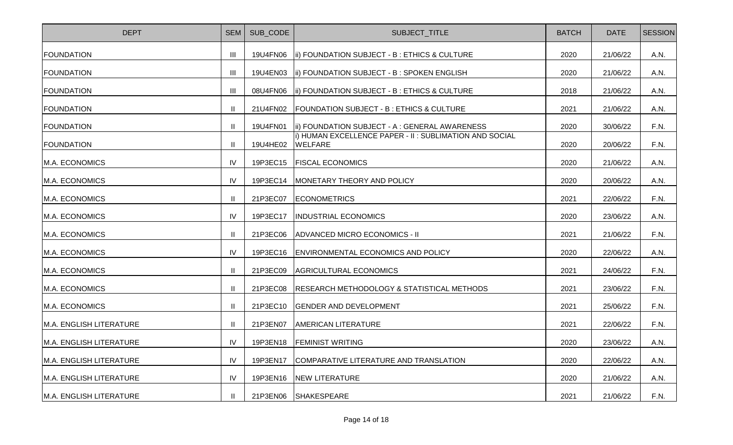| <b>DEPT</b>                    | <b>SEM</b>     | SUB CODE | SUBJECT_TITLE                                                            | <b>BATCH</b> | <b>DATE</b> | <b>SESSION</b> |
|--------------------------------|----------------|----------|--------------------------------------------------------------------------|--------------|-------------|----------------|
| <b>FOUNDATION</b>              | Ш              | 19U4FN06 | <b>Iii) FOUNDATION SUBJECT - B: ETHICS &amp; CULTURE</b>                 | 2020         | 21/06/22    | A.N.           |
| <b>FOUNDATION</b>              | $\mathbf{III}$ | 19U4EN03 | (ii) FOUNDATION SUBJECT - B: SPOKEN ENGLISH                              | 2020         | 21/06/22    | A.N.           |
| <b>FOUNDATION</b>              | $\mathbf{III}$ | 08U4FN06 | <b>Iii) FOUNDATION SUBJECT - B: ETHICS &amp; CULTURE</b>                 | 2018         | 21/06/22    | A.N.           |
| <b>FOUNDATION</b>              |                | 21U4FN02 | <b>FOUNDATION SUBJECT - B: ETHICS &amp; CULTURE</b>                      | 2021         | 21/06/22    | A.N.           |
| <b>FOUNDATION</b>              |                | 19U4FN01 | ii) FOUNDATION SUBJECT - A : GENERAL AWARENESS                           | 2020         | 30/06/22    | F.N.           |
| <b>FOUNDATION</b>              |                | 19U4HE02 | i) HUMAN EXCELLENCE PAPER - II: SUBLIMATION AND SOCIAL<br><b>WELFARE</b> | 2020         | 20/06/22    | F.N.           |
| M.A. ECONOMICS                 | IV             | 19P3EC15 | <b>FISCAL ECONOMICS</b>                                                  | 2020         | 21/06/22    | A.N.           |
| M.A. ECONOMICS                 | IV             | 19P3EC14 | MONETARY THEORY AND POLICY                                               | 2020         | 20/06/22    | A.N.           |
| M.A. ECONOMICS                 |                | 21P3EC07 | <b>ECONOMETRICS</b>                                                      | 2021         | 22/06/22    | F.N.           |
| M.A. ECONOMICS                 | IV             | 19P3EC17 | <b>INDUSTRIAL ECONOMICS</b>                                              | 2020         | 23/06/22    | A.N.           |
| M.A. ECONOMICS                 |                | 21P3EC06 | ADVANCED MICRO ECONOMICS - II                                            | 2021         | 21/06/22    | F.N.           |
| M.A. ECONOMICS                 | IV             | 19P3EC16 | ENVIRONMENTAL ECONOMICS AND POLICY                                       | 2020         | 22/06/22    | A.N.           |
| M.A. ECONOMICS                 |                | 21P3EC09 | AGRICULTURAL ECONOMICS                                                   | 2021         | 24/06/22    | F.N.           |
| M.A. ECONOMICS                 |                | 21P3EC08 | <b>RESEARCH METHODOLOGY &amp; STATISTICAL METHODS</b>                    | 2021         | 23/06/22    | F.N.           |
| M.A. ECONOMICS                 |                | 21P3EC10 | <b>GENDER AND DEVELOPMENT</b>                                            | 2021         | 25/06/22    | F.N.           |
| M.A. ENGLISH LITERATURE        |                | 21P3EN07 | <b>AMERICAN LITERATURE</b>                                               | 2021         | 22/06/22    | F.N.           |
| M.A. ENGLISH LITERATURE        | IV             | 19P3EN18 | <b>FEMINIST WRITING</b>                                                  | 2020         | 23/06/22    | A.N.           |
| <b>M.A. ENGLISH LITERATURE</b> | IV             | 19P3EN17 | COMPARATIVE LITERATURE AND TRANSLATION                                   | 2020         | 22/06/22    | A.N.           |
| M.A. ENGLISH LITERATURE        | IV             | 19P3EN16 | <b>NEW LITERATURE</b>                                                    | 2020         | 21/06/22    | A.N.           |
| M.A. ENGLISH LITERATURE        |                | 21P3EN06 | <b>SHAKESPEARE</b>                                                       | 2021         | 21/06/22    | F.N.           |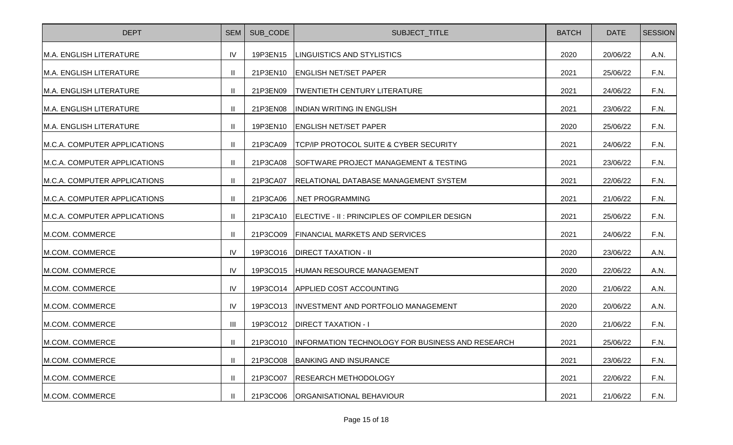| <b>DEPT</b>                  | <b>SEM</b>     | SUB CODE | SUBJECT_TITLE                                             | <b>BATCH</b> | <b>DATE</b> | <b>SESSION</b> |
|------------------------------|----------------|----------|-----------------------------------------------------------|--------------|-------------|----------------|
| M.A. ENGLISH LITERATURE      | IV             | 19P3EN15 | LINGUISTICS AND STYLISTICS                                | 2020         | 20/06/22    | A.N.           |
| M.A. ENGLISH LITERATURE      |                | 21P3EN10 | <b>ENGLISH NET/SET PAPER</b>                              | 2021         | 25/06/22    | F.N.           |
| M.A. ENGLISH LITERATURE      | H              | 21P3EN09 | <b>TWENTIETH CENTURY LITERATURE</b>                       | 2021         | 24/06/22    | F.N.           |
| M.A. ENGLISH LITERATURE      | $\mathbf{I}$   | 21P3EN08 | <b>INDIAN WRITING IN ENGLISH</b>                          | 2021         | 23/06/22    | F.N.           |
| M.A. ENGLISH LITERATURE      |                | 19P3EN10 | <b>ENGLISH NET/SET PAPER</b>                              | 2020         | 25/06/22    | F.N.           |
| M.C.A. COMPUTER APPLICATIONS |                | 21P3CA09 | TCP/IP PROTOCOL SUITE & CYBER SECURITY                    | 2021         | 24/06/22    | F.N.           |
| M.C.A. COMPUTER APPLICATIONS |                | 21P3CA08 | SOFTWARE PROJECT MANAGEMENT & TESTING                     | 2021         | 23/06/22    | F.N.           |
| M.C.A. COMPUTER APPLICATIONS | Ш              | 21P3CA07 | <b>RELATIONAL DATABASE MANAGEMENT SYSTEM</b>              | 2021         | 22/06/22    | F.N.           |
| M.C.A. COMPUTER APPLICATIONS | Ш              | 21P3CA06 | .NET PROGRAMMING                                          | 2021         | 21/06/22    | F.N.           |
| M.C.A. COMPUTER APPLICATIONS |                | 21P3CA10 | ELECTIVE - II : PRINCIPLES OF COMPILER DESIGN             | 2021         | 25/06/22    | F.N.           |
| M.COM. COMMERCE              |                | 21P3CO09 | <b>FINANCIAL MARKETS AND SERVICES</b>                     | 2021         | 24/06/22    | F.N.           |
| M.COM. COMMERCE              | IV             | 19P3CO16 | <b>DIRECT TAXATION - II</b>                               | 2020         | 23/06/22    | A.N.           |
| M.COM. COMMERCE              | IV             | 19P3CO15 | HUMAN RESOURCE MANAGEMENT                                 | 2020         | 22/06/22    | A.N.           |
| M.COM. COMMERCE              | IV             | 19P3CO14 | <b>APPLIED COST ACCOUNTING</b>                            | 2020         | 21/06/22    | A.N.           |
| M.COM. COMMERCE              | IV             | 19P3CO13 | INVESTMENT AND PORTFOLIO MANAGEMENT                       | 2020         | 20/06/22    | A.N.           |
| M.COM. COMMERCE              | $\mathbf{III}$ | 19P3CO12 | <b>DIRECT TAXATION - I</b>                                | 2020         | 21/06/22    | F.N.           |
| M.COM. COMMERCE              | $\mathbf{I}$   |          | 21P3CO10 INFORMATION TECHNOLOGY FOR BUSINESS AND RESEARCH | 2021         | 25/06/22    | F.N.           |
| <b>M.COM. COMMERCE</b>       | Ш              | 21P3CO08 | BANKING AND INSURANCE                                     | 2021         | 23/06/22    | F.N.           |
| M.COM. COMMERCE              |                | 21P3CO07 | <b>RESEARCH METHODOLOGY</b>                               | 2021         | 22/06/22    | F.N.           |
| M.COM. COMMERCE              | Ш              | 21P3CO06 | <b>ORGANISATIONAL BEHAVIOUR</b>                           | 2021         | 21/06/22    | F.N.           |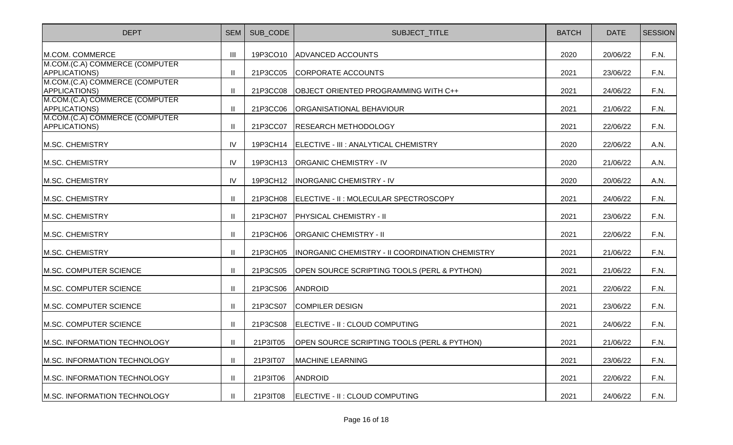| <b>DEPT</b>                                     | <b>SEM</b>    | SUB CODE | SUBJECT_TITLE                                          | <b>BATCH</b> | <b>DATE</b> | <b>SESSION</b> |
|-------------------------------------------------|---------------|----------|--------------------------------------------------------|--------------|-------------|----------------|
| M.COM. COMMERCE                                 | III           | 19P3CO10 | <b>ADVANCED ACCOUNTS</b>                               | 2020         | 20/06/22    | F.N.           |
| M.COM.(C.A) COMMERCE (COMPUTER<br>APPLICATIONS) | $\mathbf{II}$ | 21P3CC05 | CORPORATE ACCOUNTS                                     | 2021         | 23/06/22    | F.N.           |
| M.COM.(C.A) COMMERCE (COMPUTER<br>APPLICATIONS) | $\mathbf{II}$ | 21P3CC08 | OBJECT ORIENTED PROGRAMMING WITH C++                   | 2021         | 24/06/22    | F.N.           |
| M.COM.(C.A) COMMERCE (COMPUTER<br>APPLICATIONS) | $\mathbf{II}$ | 21P3CC06 | <b>ORGANISATIONAL BEHAVIOUR</b>                        | 2021         | 21/06/22    | F.N.           |
| M.COM.(C.A) COMMERCE (COMPUTER<br>APPLICATIONS) | $\mathbf{H}$  | 21P3CC07 | <b>RESEARCH METHODOLOGY</b>                            | 2021         | 22/06/22    | F.N.           |
| M.SC. CHEMISTRY                                 | <b>IV</b>     | 19P3CH14 | ELECTIVE - III : ANALYTICAL CHEMISTRY                  | 2020         | 22/06/22    | A.N.           |
| M.SC. CHEMISTRY                                 | IV            | 19P3CH13 | <b>ORGANIC CHEMISTRY - IV</b>                          | 2020         | 21/06/22    | A.N.           |
| M.SC. CHEMISTRY                                 | IV            | 19P3CH12 | <b>INORGANIC CHEMISTRY - IV</b>                        | 2020         | 20/06/22    | A.N.           |
| M.SC. CHEMISTRY                                 | Ш             | 21P3CH08 | ELECTIVE - II : MOLECULAR SPECTROSCOPY                 | 2021         | 24/06/22    | F.N.           |
| M.SC. CHEMISTRY                                 | Ш             | 21P3CH07 | PHYSICAL CHEMISTRY - II                                | 2021         | 23/06/22    | F.N.           |
| M.SC. CHEMISTRY                                 | Ш             | 21P3CH06 | <b>ORGANIC CHEMISTRY - II</b>                          | 2021         | 22/06/22    | F.N.           |
| M.SC. CHEMISTRY                                 | Ш             | 21P3CH05 | <b>INORGANIC CHEMISTRY - II COORDINATION CHEMISTRY</b> | 2021         | 21/06/22    | F.N.           |
| M.SC. COMPUTER SCIENCE                          | Ш             | 21P3CS05 | OPEN SOURCE SCRIPTING TOOLS (PERL & PYTHON)            | 2021         | 21/06/22    | F.N.           |
| M.SC. COMPUTER SCIENCE                          | Ш             | 21P3CS06 | <b>ANDROID</b>                                         | 2021         | 22/06/22    | F.N.           |
| M.SC. COMPUTER SCIENCE                          | $\mathbf{II}$ | 21P3CS07 | <b>COMPILER DESIGN</b>                                 | 2021         | 23/06/22    | F.N.           |
| M.SC. COMPUTER SCIENCE                          | $\mathbf{H}$  | 21P3CS08 | ELECTIVE - II : CLOUD COMPUTING                        | 2021         | 24/06/22    | F.N.           |
| M.SC. INFORMATION TECHNOLOGY                    | $\mathbf{II}$ | 21P3IT05 | OPEN SOURCE SCRIPTING TOOLS (PERL & PYTHON)            | 2021         | 21/06/22    | F.N.           |
| M.SC. INFORMATION TECHNOLOGY                    | $\mathbf{H}$  | 21P3IT07 | <b>MACHINE LEARNING</b>                                | 2021         | 23/06/22    | F.N.           |
| M.SC. INFORMATION TECHNOLOGY                    | $\mathbf{II}$ | 21P3IT06 | <b>ANDROID</b>                                         | 2021         | 22/06/22    | F.N.           |
| M.SC. INFORMATION TECHNOLOGY                    | $\mathbf{II}$ | 21P3IT08 | ELECTIVE - II : CLOUD COMPUTING                        | 2021         | 24/06/22    | F.N.           |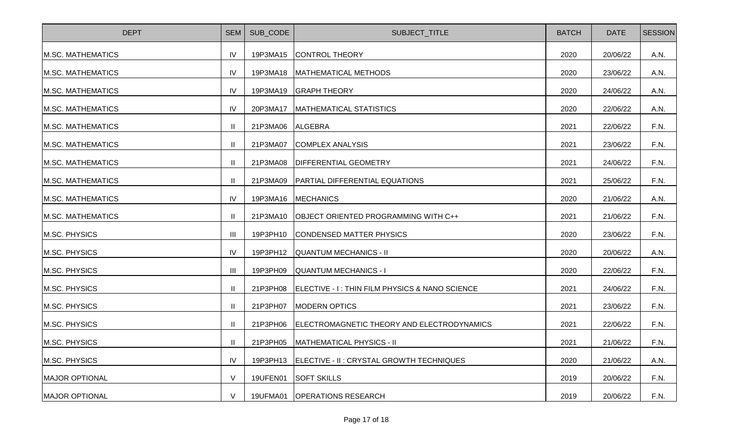| <b>DEPT</b>              | <b>SEM</b>     | SUB CODE | SUBJECT_TITLE                                  | <b>BATCH</b> | <b>DATE</b> | <b>SESSION</b> |
|--------------------------|----------------|----------|------------------------------------------------|--------------|-------------|----------------|
| <b>M.SC. MATHEMATICS</b> | IV             | 19P3MA15 | <b>CONTROL THEORY</b>                          | 2020         | 20/06/22    | A.N.           |
| <b>M.SC. MATHEMATICS</b> | IV             | 19P3MA18 | MATHEMATICAL METHODS                           | 2020         | 23/06/22    | A.N.           |
| <b>M.SC. MATHEMATICS</b> | IV             | 19P3MA19 | <b>GRAPH THEORY</b>                            | 2020         | 24/06/22    | A.N.           |
| M.SC. MATHEMATICS        | IV             | 20P3MA17 | <b>MATHEMATICAL STATISTICS</b>                 | 2020         | 22/06/22    | A.N.           |
| <b>M.SC. MATHEMATICS</b> |                | 21P3MA06 | <b>ALGEBRA</b>                                 | 2021         | 22/06/22    | F.N.           |
| M.SC. MATHEMATICS        |                | 21P3MA07 | <b>COMPLEX ANALYSIS</b>                        | 2021         | 23/06/22    | F.N.           |
| <b>M.SC. MATHEMATICS</b> |                | 21P3MA08 | <b>DIFFERENTIAL GEOMETRY</b>                   | 2021         | 24/06/22    | F.N.           |
| M.SC. MATHEMATICS        | $\mathbf{H}$   | 21P3MA09 | <b>PARTIAL DIFFERENTIAL EQUATIONS</b>          | 2021         | 25/06/22    | F.N.           |
| M.SC. MATHEMATICS        | IV             | 19P3MA16 | <b>MECHANICS</b>                               | 2020         | 21/06/22    | A.N.           |
| M.SC. MATHEMATICS        |                | 21P3MA10 | <b>OBJECT ORIENTED PROGRAMMING WITH C++</b>    | 2021         | 21/06/22    | F.N.           |
| M.SC. PHYSICS            | Ш              | 19P3PH10 | <b>CONDENSED MATTER PHYSICS</b>                | 2020         | 23/06/22    | F.N.           |
| M.SC. PHYSICS            | IV             | 19P3PH12 | <b>QUANTUM MECHANICS - II</b>                  | 2020         | 20/06/22    | A.N.           |
| M.SC. PHYSICS            | $\mathbf{III}$ | 19P3PH09 | QUANTUM MECHANICS - I                          | 2020         | 22/06/22    | F.N.           |
| M.SC. PHYSICS            |                | 21P3PH08 | ELECTIVE - I: THIN FILM PHYSICS & NANO SCIENCE | 2021         | 24/06/22    | F.N.           |
| M.SC. PHYSICS            |                | 21P3PH07 | <b>MODERN OPTICS</b>                           | 2021         | 23/06/22    | F.N.           |
| M.SC. PHYSICS            | $\mathbf{H}$   | 21P3PH06 | ELECTROMAGNETIC THEORY AND ELECTRODYNAMICS     | 2021         | 22/06/22    | F.N.           |
| M.SC. PHYSICS            | $\mathbf{H}$   | 21P3PH05 | <b>MATHEMATICAL PHYSICS - II</b>               | 2021         | 21/06/22    | F.N.           |
| M.SC. PHYSICS            | IV             | 19P3PH13 | ELECTIVE - II : CRYSTAL GROWTH TECHNIQUES      | 2020         | 21/06/22    | A.N.           |
| <b>MAJOR OPTIONAL</b>    | $\vee$         | 19UFEN01 | <b>SOFT SKILLS</b>                             | 2019         | 20/06/22    | F.N.           |
| <b>MAJOR OPTIONAL</b>    | V              | 19UFMA01 | <b>OPERATIONS RESEARCH</b>                     | 2019         | 20/06/22    | F.N.           |